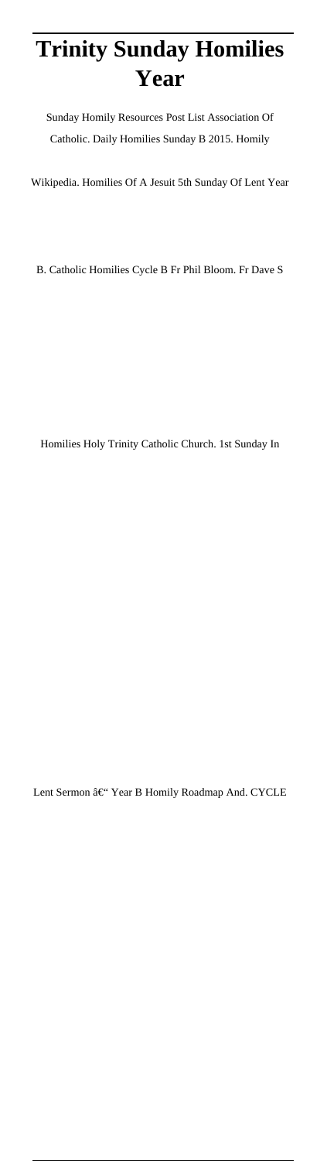# **Trinity Sunday Homilies Year**

Sunday Homily Resources Post List Association Of Catholic. Daily Homilies Sunday B 2015. Homily

Wikipedia. Homilies Of A Jesuit 5th Sunday Of Lent Year

B. Catholic Homilies Cycle B Fr Phil Bloom. Fr Dave S

Homilies Holy Trinity Catholic Church. 1st Sunday In

Lent Sermon – Year B Homily Roadmap And. CYCLE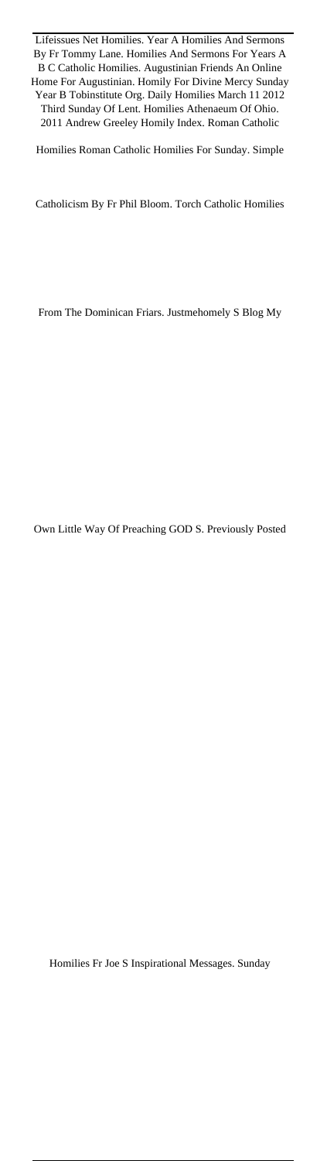Lifeissues Net Homilies. Year A Homilies And Sermons By Fr Tommy Lane. Homilies And Sermons For Years A B C Catholic Homilies. Augustinian Friends An Online Home For Augustinian. Homily For Divine Mercy Sunday Year B Tobinstitute Org. Daily Homilies March 11 2012 Third Sunday Of Lent. Homilies Athenaeum Of Ohio. 2011 Andrew Greeley Homily Index. Roman Catholic

Homilies Roman Catholic Homilies For Sunday. Simple

Catholicism By Fr Phil Bloom. Torch Catholic Homilies

From The Dominican Friars. Justmehomely S Blog My

Own Little Way Of Preaching GOD S. Previously Posted

Homilies Fr Joe S Inspirational Messages. Sunday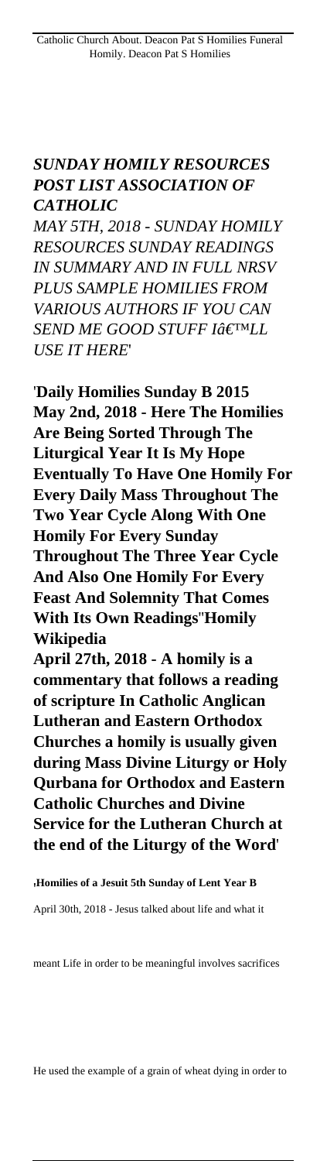#### *SUNDAY HOMILY RESOURCES POST LIST ASSOCIATION OF CATHOLIC*

*MAY 5TH, 2018 - SUNDAY HOMILY RESOURCES SUNDAY READINGS IN SUMMARY AND IN FULL NRSV PLUS SAMPLE HOMILIES FROM VARIOUS AUTHORS IF YOU CAN* **SEND ME GOOD STUFF IÂETMLL** *USE IT HERE*'

'**Daily Homilies Sunday B 2015 May 2nd, 2018 - Here The Homilies Are Being Sorted Through The Liturgical Year It Is My Hope Eventually To Have One Homily For Every Daily Mass Throughout The Two Year Cycle Along With One Homily For Every Sunday Throughout The Three Year Cycle And Also One Homily For Every Feast And Solemnity That Comes With Its Own Readings**''**Homily Wikipedia April 27th, 2018 - A homily is a commentary that follows a reading of scripture In Catholic Anglican Lutheran and Eastern Orthodox Churches a homily is usually given during Mass Divine Liturgy or Holy Qurbana for Orthodox and Eastern Catholic Churches and Divine**

**Service for the Lutheran Church at the end of the Liturgy of the Word**'

'**Homilies of a Jesuit 5th Sunday of Lent Year B**

April 30th, 2018 - Jesus talked about life and what it

meant Life in order to be meaningful involves sacrifices

He used the example of a grain of wheat dying in order to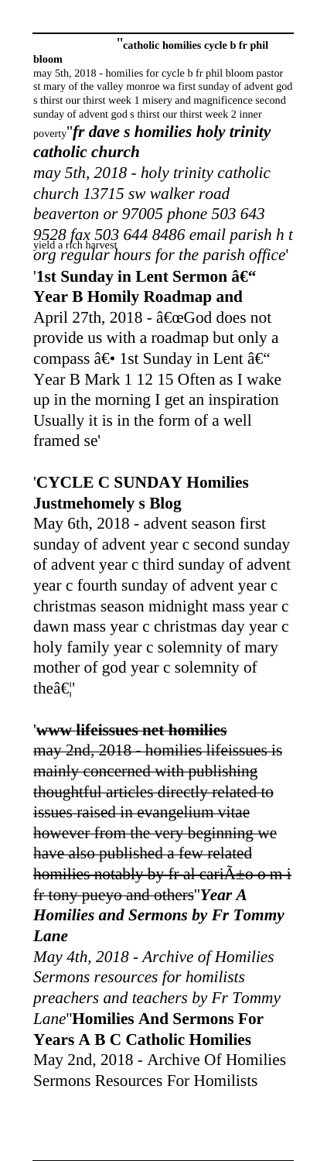#### ''**catholic homilies cycle b fr phil**

**bloom** may 5th, 2018 - homilies for cycle b fr phil bloom pastor st mary of the valley monroe wa first sunday of advent god s thirst our thirst week 1 misery and magnificence second sunday of advent god s thirst our thirst week 2 inner poverty''*fr dave s homilies holy trinity*

## *catholic church*

yield a rich harvest *9528 fax 503 644 8486 email parish h t may 5th, 2018 - holy trinity catholic church 13715 sw walker road beaverton or 97005 phone 503 643 org regular hours for the parish office*' '1st Sunday in Lent Sermon – **Year B Homily Roadmap and** April 27th, 2018 - "God does not provide us with a roadmap but only a compass  $\hat{a} \in \Omega$  1st Sunday in Lent  $\hat{a} \in \Omega$ Year B Mark 1 12 15 Often as I wake up in the morning I get an inspiration Usually it is in the form of a well framed se'

### '**CYCLE C SUNDAY Homilies Justmehomely s Blog**

May 6th, 2018 - advent season first sunday of advent year c second sunday of advent year c third sunday of advent year c fourth sunday of advent year c christmas season midnight mass year c dawn mass year c christmas day year c holy family year c solemnity of mary mother of god year c solemnity of theâ€"

#### '**www lifeissues net homilies**

may 2nd, 2018 - homilies lifeissues is mainly concerned with publishing thoughtful articles directly related to issues raised in evangelium vitae however from the very beginning we have also published a few related homilies notably by fr al cari $\tilde{A} \pm o$  o m i fr tony pueyo and others''*Year A Homilies and Sermons by Fr Tommy Lane*

*May 4th, 2018 - Archive of Homilies Sermons resources for homilists preachers and teachers by Fr Tommy Lane*''**Homilies And Sermons For Years A B C Catholic Homilies** May 2nd, 2018 - Archive Of Homilies Sermons Resources For Homilists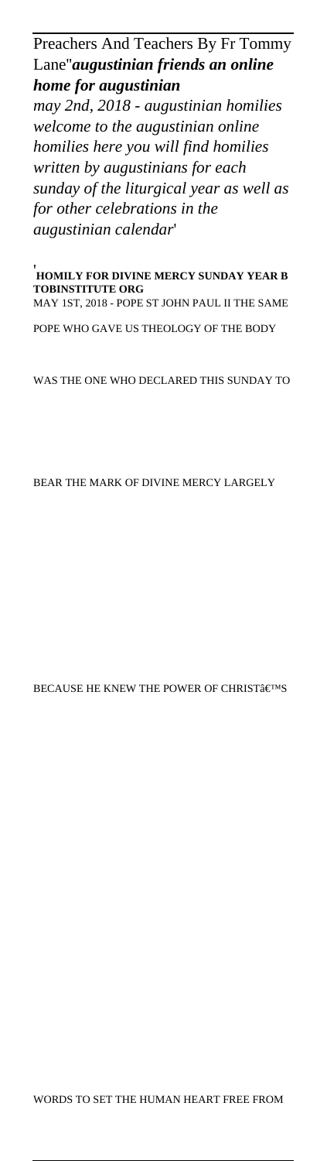#### Preachers And Teachers By Fr Tommy Lane''*augustinian friends an online home for augustinian*

*may 2nd, 2018 - augustinian homilies welcome to the augustinian online homilies here you will find homilies written by augustinians for each sunday of the liturgical year as well as for other celebrations in the augustinian calendar*'

'**HOMILY FOR DIVINE MERCY SUNDAY YEAR B TOBINSTITUTE ORG** MAY 1ST, 2018 - POPE ST JOHN PAUL II THE SAME

POPE WHO GAVE US THEOLOGY OF THE BODY

WAS THE ONE WHO DECLARED THIS SUNDAY TO

BEAR THE MARK OF DIVINE MERCY LARGELY

BECAUSE HE KNEW THE POWER OF CHRIST $\hat{\mathbf{a}} \in \mathbb{C}^{\mathrm{TM}}}$ S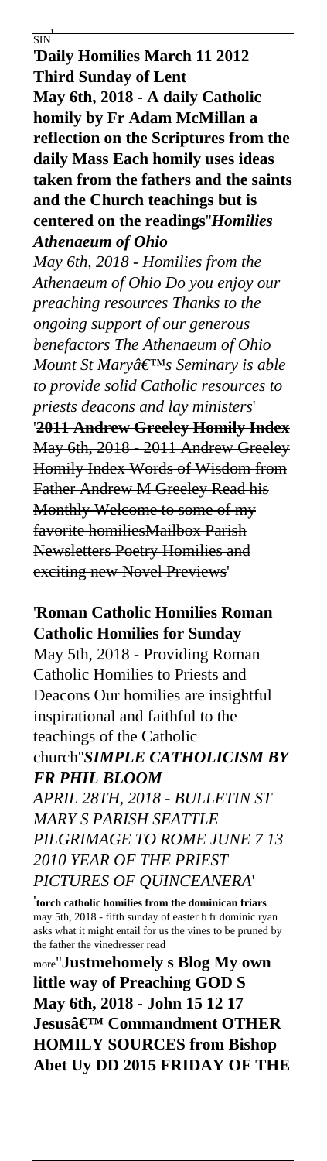SIN' '**Daily Homilies March 11 2012 Third Sunday of Lent May 6th, 2018 - A daily Catholic homily by Fr Adam McMillan a reflection on the Scriptures from the daily Mass Each homily uses ideas taken from the fathers and the saints and the Church teachings but is centered on the readings**''*Homilies Athenaeum of Ohio May 6th, 2018 - Homilies from the Athenaeum of Ohio Do you enjoy our preaching resources Thanks to the ongoing support of our generous benefactors The Athenaeum of Ohio Mount St Mary's Seminary is able to provide solid Catholic resources to priests deacons and lay ministers*' '**2011 Andrew Greeley Homily Index** May 6th, 2018 - 2011 Andrew Greeley Homily Index Words of Wisdom from Father Andrew M Greeley Read his Monthly Welcome to some of my favorite homiliesMailbox Parish Newsletters Poetry Homilies and exciting new Novel Previews'

'**Roman Catholic Homilies Roman Catholic Homilies for Sunday**

May 5th, 2018 - Providing Roman Catholic Homilies to Priests and Deacons Our homilies are insightful inspirational and faithful to the teachings of the Catholic church''*SIMPLE CATHOLICISM BY FR PHIL BLOOM*

*APRIL 28TH, 2018 - BULLETIN ST MARY S PARISH SEATTLE PILGRIMAGE TO ROME JUNE 7 13 2010 YEAR OF THE PRIEST PICTURES OF QUINCEANERA*'

'**torch catholic homilies from the dominican friars** may 5th, 2018 - fifth sunday of easter b fr dominic ryan asks what it might entail for us the vines to be pruned by the father the vinedresser read

more''**Justmehomely s Blog My own little way of Preaching GOD S May 6th, 2018 - John 15 12 17 Jesusâ€<sup>™</sup> Commandment OTHER HOMILY SOURCES from Bishop Abet Uy DD 2015 FRIDAY OF THE**